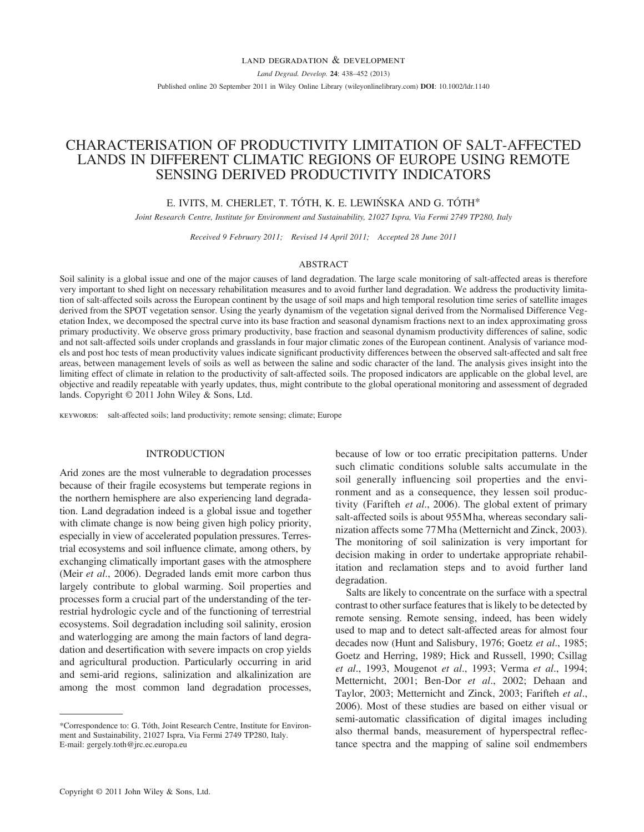#### land degradation & development

Land Degrad. Develop. 24: 438–452 (2013)

Published online 20 September 2011 in Wiley Online Library (wileyonlinelibrary.com) DOI: 10.1002/ldr.1140

# CHARACTERISATION OF PRODUCTIVITY LIMITATION OF SALT-AFFECTED LANDS IN DIFFERENT CLIMATIC REGIONS OF EUROPE USING REMOTE SENSING DERIVED PRODUCTIVITY INDICATORS

# E. IVITS, M. CHERLET, T. TÓTH, K. E. LEWIŃSKA AND G. TÓTH\*

Joint Research Centre, Institute for Environment and Sustainability, 21027 Ispra, Via Fermi 2749 TP280, Italy

Received 9 February 2011; Revised 14 April 2011; Accepted 28 June 2011

#### ABSTRACT

Soil salinity is a global issue and one of the major causes of land degradation. The large scale monitoring of salt-affected areas is therefore very important to shed light on necessary rehabilitation measures and to avoid further land degradation. We address the productivity limitation of salt-affected soils across the European continent by the usage of soil maps and high temporal resolution time series of satellite images derived from the SPOT vegetation sensor. Using the yearly dynamism of the vegetation signal derived from the Normalised Difference Vegetation Index, we decomposed the spectral curve into its base fraction and seasonal dynamism fractions next to an index approximating gross primary productivity. We observe gross primary productivity, base fraction and seasonal dynamism productivity differences of saline, sodic and not salt-affected soils under croplands and grasslands in four major climatic zones of the European continent. Analysis of variance models and post hoc tests of mean productivity values indicate significant productivity differences between the observed salt-affected and salt free areas, between management levels of soils as well as between the saline and sodic character of the land. The analysis gives insight into the limiting effect of climate in relation to the productivity of salt-affected soils. The proposed indicators are applicable on the global level, are objective and readily repeatable with yearly updates, thus, might contribute to the global operational monitoring and assessment of degraded lands. Copyright © 2011 John Wiley & Sons, Ltd.

keywords: salt-affected soils; land productivity; remote sensing; climate; Europe

# INTRODUCTION

Arid zones are the most vulnerable to degradation processes because of their fragile ecosystems but temperate regions in the northern hemisphere are also experiencing land degradation. Land degradation indeed is a global issue and together with climate change is now being given high policy priority, especially in view of accelerated population pressures. Terrestrial ecosystems and soil influence climate, among others, by exchanging climatically important gases with the atmosphere (Meir *et al.*, 2006). Degraded lands emit more carbon thus largely contribute to global warming. Soil properties and processes form a crucial part of the understanding of the terrestrial hydrologic cycle and of the functioning of terrestrial ecosystems. Soil degradation including soil salinity, erosion and waterlogging are among the main factors of land degradation and desertification with severe impacts on crop yields and agricultural production. Particularly occurring in arid and semi-arid regions, salinization and alkalinization are among the most common land degradation processes, because of low or too erratic precipitation patterns. Under such climatic conditions soluble salts accumulate in the soil generally influencing soil properties and the environment and as a consequence, they lessen soil productivity (Farifteh et al., 2006). The global extent of primary salt-affected soils is about 955Mha, whereas secondary salinization affects some 77Mha (Metternicht and Zinck, 2003). The monitoring of soil salinization is very important for decision making in order to undertake appropriate rehabilitation and reclamation steps and to avoid further land degradation.

Salts are likely to concentrate on the surface with a spectral contrast to other surface features that is likely to be detected by remote sensing. Remote sensing, indeed, has been widely used to map and to detect salt-affected areas for almost four decades now (Hunt and Salisbury, 1976; Goetz et al., 1985; Goetz and Herring, 1989; Hick and Russell, 1990; Csillag et al., 1993, Mougenot et al., 1993; Verma et al., 1994; Metternicht, 2001; Ben-Dor et al., 2002; Dehaan and Taylor, 2003; Metternicht and Zinck, 2003; Farifteh et al., 2006). Most of these studies are based on either visual or semi-automatic classification of digital images including also thermal bands, measurement of hyperspectral reflectance spectra and the mapping of saline soil endmembers

<sup>\*</sup>Correspondence to: G. Tóth, Joint Research Centre, Institute for Environment and Sustainability, 21027 Ispra, Via Fermi 2749 TP280, Italy. E-mail: gergely.toth@jrc.ec.europa.eu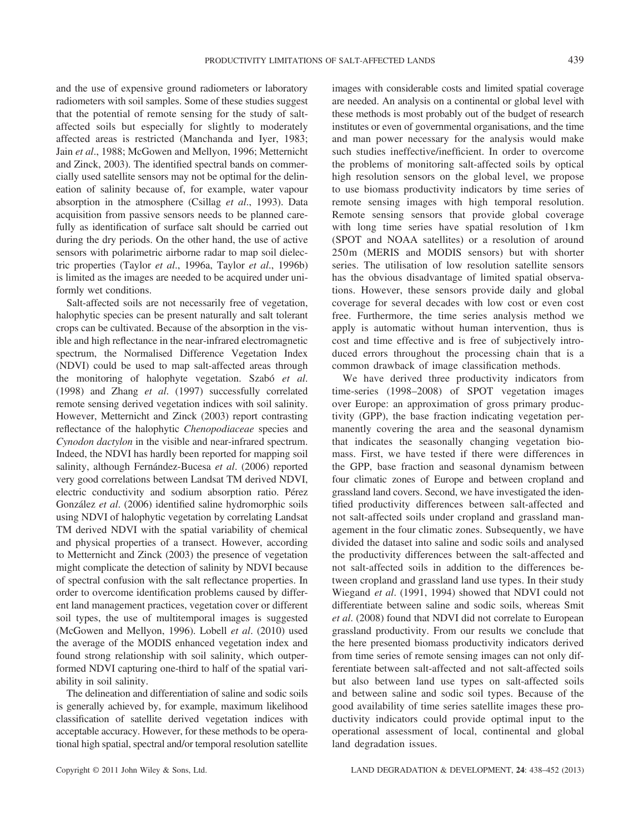and the use of expensive ground radiometers or laboratory radiometers with soil samples. Some of these studies suggest that the potential of remote sensing for the study of saltaffected soils but especially for slightly to moderately affected areas is restricted (Manchanda and Iyer, 1983; Jain et al., 1988; McGowen and Mellyon, 1996; Metternicht and Zinck, 2003). The identified spectral bands on commercially used satellite sensors may not be optimal for the delineation of salinity because of, for example, water vapour absorption in the atmosphere (Csillag et al., 1993). Data acquisition from passive sensors needs to be planned carefully as identification of surface salt should be carried out during the dry periods. On the other hand, the use of active sensors with polarimetric airborne radar to map soil dielectric properties (Taylor et al., 1996a, Taylor et al., 1996b) is limited as the images are needed to be acquired under uniformly wet conditions.

Salt-affected soils are not necessarily free of vegetation, halophytic species can be present naturally and salt tolerant crops can be cultivated. Because of the absorption in the visible and high reflectance in the near-infrared electromagnetic spectrum, the Normalised Difference Vegetation Index (NDVI) could be used to map salt-affected areas through the monitoring of halophyte vegetation. Szabó et al. (1998) and Zhang et al. (1997) successfully correlated remote sensing derived vegetation indices with soil salinity. However, Metternicht and Zinck (2003) report contrasting reflectance of the halophytic Chenopodiaceae species and Cynodon dactylon in the visible and near-infrared spectrum. Indeed, the NDVI has hardly been reported for mapping soil salinity, although Fernández-Bucesa et al. (2006) reported very good correlations between Landsat TM derived NDVI, electric conductivity and sodium absorption ratio. Pérez González et al. (2006) identified saline hydromorphic soils using NDVI of halophytic vegetation by correlating Landsat TM derived NDVI with the spatial variability of chemical and physical properties of a transect. However, according to Metternicht and Zinck (2003) the presence of vegetation might complicate the detection of salinity by NDVI because of spectral confusion with the salt reflectance properties. In order to overcome identification problems caused by different land management practices, vegetation cover or different soil types, the use of multitemporal images is suggested (McGowen and Mellyon, 1996). Lobell et al. (2010) used the average of the MODIS enhanced vegetation index and found strong relationship with soil salinity, which outperformed NDVI capturing one-third to half of the spatial variability in soil salinity.

The delineation and differentiation of saline and sodic soils is generally achieved by, for example, maximum likelihood classification of satellite derived vegetation indices with acceptable accuracy. However, for these methods to be operational high spatial, spectral and/or temporal resolution satellite images with considerable costs and limited spatial coverage are needed. An analysis on a continental or global level with these methods is most probably out of the budget of research institutes or even of governmental organisations, and the time and man power necessary for the analysis would make such studies ineffective/inefficient. In order to overcome the problems of monitoring salt-affected soils by optical high resolution sensors on the global level, we propose to use biomass productivity indicators by time series of remote sensing images with high temporal resolution. Remote sensing sensors that provide global coverage with long time series have spatial resolution of 1km (SPOT and NOAA satellites) or a resolution of around 250m (MERIS and MODIS sensors) but with shorter series. The utilisation of low resolution satellite sensors has the obvious disadvantage of limited spatial observations. However, these sensors provide daily and global coverage for several decades with low cost or even cost free. Furthermore, the time series analysis method we apply is automatic without human intervention, thus is cost and time effective and is free of subjectively introduced errors throughout the processing chain that is a common drawback of image classification methods.

We have derived three productivity indicators from time-series (1998–2008) of SPOT vegetation images over Europe: an approximation of gross primary productivity (GPP), the base fraction indicating vegetation permanently covering the area and the seasonal dynamism that indicates the seasonally changing vegetation biomass. First, we have tested if there were differences in the GPP, base fraction and seasonal dynamism between four climatic zones of Europe and between cropland and grassland land covers. Second, we have investigated the identified productivity differences between salt-affected and not salt-affected soils under cropland and grassland management in the four climatic zones. Subsequently, we have divided the dataset into saline and sodic soils and analysed the productivity differences between the salt-affected and not salt-affected soils in addition to the differences between cropland and grassland land use types. In their study Wiegand et al. (1991, 1994) showed that NDVI could not differentiate between saline and sodic soils, whereas Smit et al. (2008) found that NDVI did not correlate to European grassland productivity. From our results we conclude that the here presented biomass productivity indicators derived from time series of remote sensing images can not only differentiate between salt-affected and not salt-affected soils but also between land use types on salt-affected soils and between saline and sodic soil types. Because of the good availability of time series satellite images these productivity indicators could provide optimal input to the operational assessment of local, continental and global land degradation issues.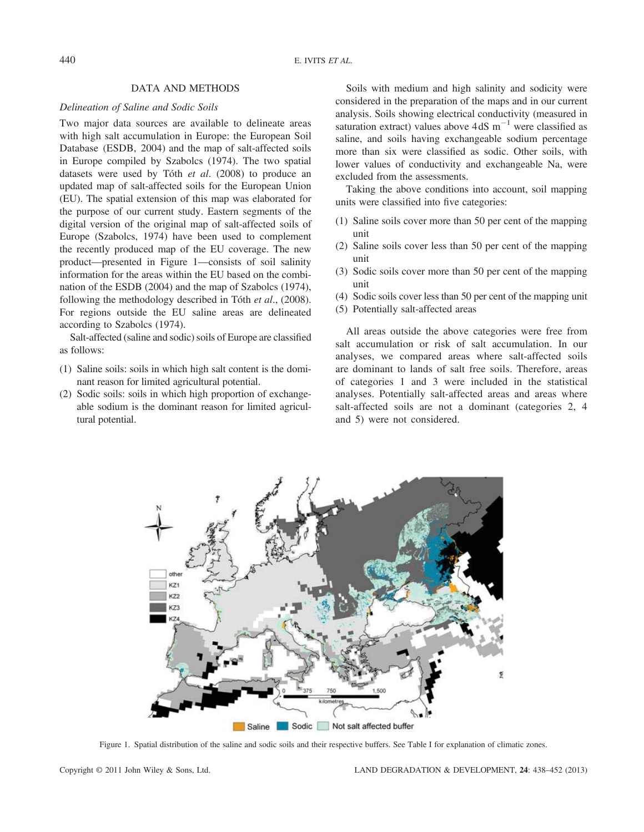### DATA AND METHODS

### Delineation of Saline and Sodic Soils

Two major data sources are available to delineate areas with high salt accumulation in Europe: the European Soil Database (ESDB, 2004) and the map of salt-affected soils in Europe compiled by Szabolcs (1974). The two spatial datasets were used by Tóth et al. (2008) to produce an updated map of salt-affected soils for the European Union (EU). The spatial extension of this map was elaborated for the purpose of our current study. Eastern segments of the digital version of the original map of salt-affected soils of Europe (Szabolcs, 1974) have been used to complement the recently produced map of the EU coverage. The new product—presented in Figure 1—consists of soil salinity information for the areas within the EU based on the combination of the ESDB (2004) and the map of Szabolcs (1974), following the methodology described in Tóth et al., (2008). For regions outside the EU saline areas are delineated according to Szabolcs (1974).

Salt-affected (saline and sodic) soils of Europe are classified as follows:

- (1) Saline soils: soils in which high salt content is the dominant reason for limited agricultural potential.
- (2) Sodic soils: soils in which high proportion of exchangeable sodium is the dominant reason for limited agricultural potential.

Soils with medium and high salinity and sodicity were considered in the preparation of the maps and in our current analysis. Soils showing electrical conductivity (measured in saturation extract) values above  $4dS$  m<sup>-1</sup> were classified as saline, and soils having exchangeable sodium percentage more than six were classified as sodic. Other soils, with lower values of conductivity and exchangeable Na, were excluded from the assessments.

Taking the above conditions into account, soil mapping units were classified into five categories:

- (1) Saline soils cover more than 50 per cent of the mapping unit
- (2) Saline soils cover less than 50 per cent of the mapping unit
- (3) Sodic soils cover more than 50 per cent of the mapping unit
- (4) Sodic soils cover less than 50 per cent of the mapping unit
- (5) Potentially salt-affected areas

All areas outside the above categories were free from salt accumulation or risk of salt accumulation. In our analyses, we compared areas where salt-affected soils are dominant to lands of salt free soils. Therefore, areas of categories 1 and 3 were included in the statistical analyses. Potentially salt-affected areas and areas where salt-affected soils are not a dominant (categories 2, 4 and 5) were not considered.



Figure 1. Spatial distribution of the saline and sodic soils and their respective buffers. See Table I for explanation of climatic zones.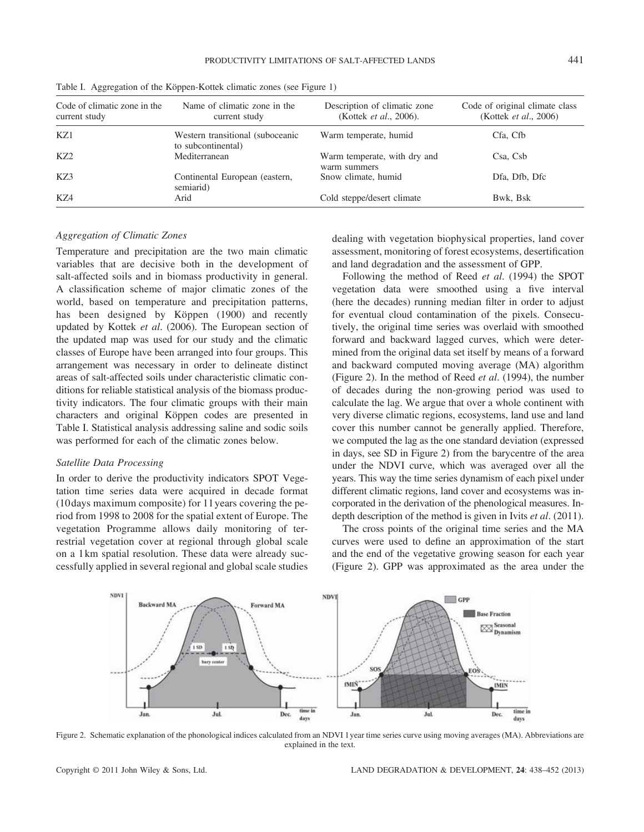| Code of climatic zone in the<br>current study | Name of climatic zone in the<br>current study          | Description of climatic zone<br>(Kottek et al., 2006). | Code of original climate class<br>(Kottek et al., 2006) |
|-----------------------------------------------|--------------------------------------------------------|--------------------------------------------------------|---------------------------------------------------------|
| KZ1                                           | Western transitional (suboceanic<br>to subcontinental) | Warm temperate, humid                                  | Cfa, Cfb                                                |
| KZ <sub>2</sub>                               | Mediterranean                                          | Warm temperate, with dry and<br>warm summers           | Csa, Csb                                                |
| KZ3                                           | Continental European (eastern,<br>semiarid)            | Snow climate, humid                                    | Dfa, Dfb, Dfc                                           |
| KZ4                                           | Arid                                                   | Cold steppe/desert climate                             | Bwk, Bsk                                                |

Table I. Aggregation of the Köppen-Kottek climatic zones (see Figure 1)

# Aggregation of Climatic Zones

Temperature and precipitation are the two main climatic variables that are decisive both in the development of salt-affected soils and in biomass productivity in general. A classification scheme of major climatic zones of the world, based on temperature and precipitation patterns, has been designed by Köppen (1900) and recently updated by Kottek et al. (2006). The European section of the updated map was used for our study and the climatic classes of Europe have been arranged into four groups. This arrangement was necessary in order to delineate distinct areas of salt-affected soils under characteristic climatic conditions for reliable statistical analysis of the biomass productivity indicators. The four climatic groups with their main characters and original Köppen codes are presented in Table I. Statistical analysis addressing saline and sodic soils was performed for each of the climatic zones below.

# Satellite Data Processing

In order to derive the productivity indicators SPOT Vegetation time series data were acquired in decade format (10days maximum composite) for 11years covering the period from 1998 to 2008 for the spatial extent of Europe. The vegetation Programme allows daily monitoring of terrestrial vegetation cover at regional through global scale on a 1km spatial resolution. These data were already successfully applied in several regional and global scale studies dealing with vegetation biophysical properties, land cover assessment, monitoring of forest ecosystems, desertification and land degradation and the assessment of GPP.

Following the method of Reed et al. (1994) the SPOT vegetation data were smoothed using a five interval (here the decades) running median filter in order to adjust for eventual cloud contamination of the pixels. Consecutively, the original time series was overlaid with smoothed forward and backward lagged curves, which were determined from the original data set itself by means of a forward and backward computed moving average (MA) algorithm (Figure 2). In the method of Reed et al. (1994), the number of decades during the non-growing period was used to calculate the lag. We argue that over a whole continent with very diverse climatic regions, ecosystems, land use and land cover this number cannot be generally applied. Therefore, we computed the lag as the one standard deviation (expressed in days, see SD in Figure 2) from the barycentre of the area under the NDVI curve, which was averaged over all the years. This way the time series dynamism of each pixel under different climatic regions, land cover and ecosystems was incorporated in the derivation of the phenological measures. Indepth description of the method is given in Ivits et al. (2011).

The cross points of the original time series and the MA curves were used to define an approximation of the start and the end of the vegetative growing season for each year (Figure 2). GPP was approximated as the area under the



Figure 2. Schematic explanation of the phonological indices calculated from an NDVI 1year time series curve using moving averages (MA). Abbreviations are explained in the text.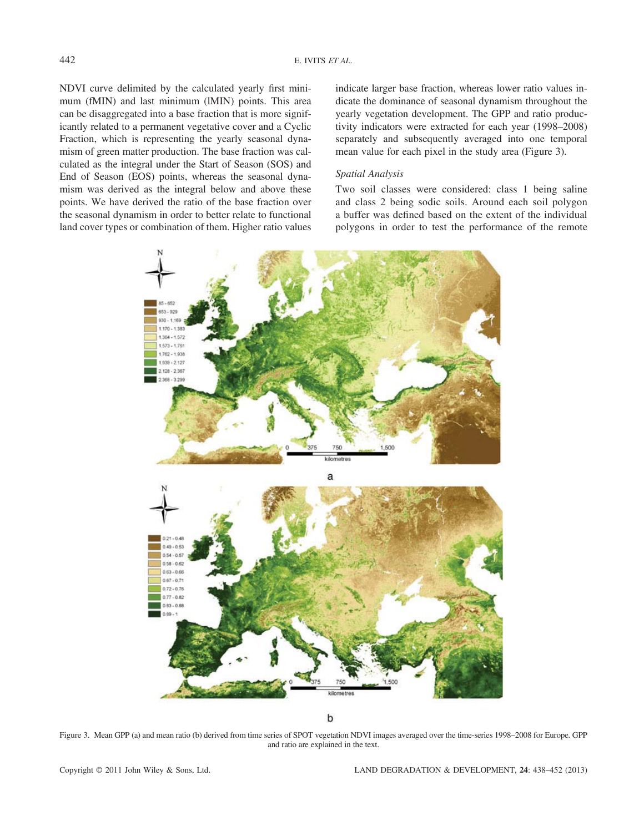NDVI curve delimited by the calculated yearly first minimum (fMIN) and last minimum (lMIN) points. This area can be disaggregated into a base fraction that is more significantly related to a permanent vegetative cover and a Cyclic Fraction, which is representing the yearly seasonal dynamism of green matter production. The base fraction was calculated as the integral under the Start of Season (SOS) and End of Season (EOS) points, whereas the seasonal dynamism was derived as the integral below and above these points. We have derived the ratio of the base fraction over the seasonal dynamism in order to better relate to functional land cover types or combination of them. Higher ratio values indicate larger base fraction, whereas lower ratio values indicate the dominance of seasonal dynamism throughout the yearly vegetation development. The GPP and ratio productivity indicators were extracted for each year (1998–2008) separately and subsequently averaged into one temporal mean value for each pixel in the study area (Figure 3).

### Spatial Analysis

Two soil classes were considered: class 1 being saline and class 2 being sodic soils. Around each soil polygon a buffer was defined based on the extent of the individual polygons in order to test the performance of the remote



Figure 3. Mean GPP (a) and mean ratio (b) derived from time series of SPOT vegetation NDVI images averaged over the time-series 1998–2008 for Europe. GPP and ratio are explained in the text.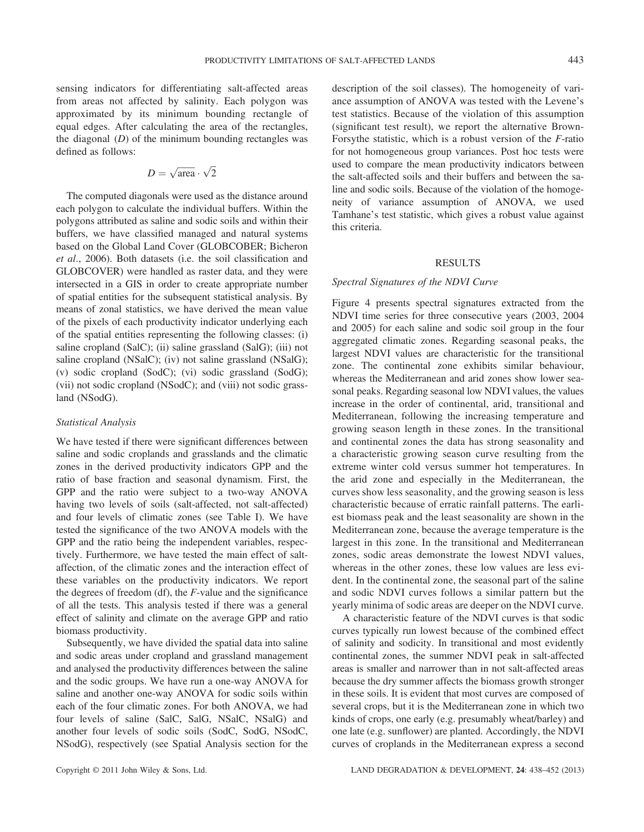sensing indicators for differentiating salt-affected areas from areas not affected by salinity. Each polygon was approximated by its minimum bounding rectangle of equal edges. After calculating the area of the rectangles, the diagonal  $(D)$  of the minimum bounding rectangles was defined as follows:

$$
D = \sqrt{\text{area}} \cdot \sqrt{2}
$$

The computed diagonals were used as the distance around each polygon to calculate the individual buffers. Within the polygons attributed as saline and sodic soils and within their buffers, we have classified managed and natural systems based on the Global Land Cover (GLOBCOBER; Bicheron et al., 2006). Both datasets (i.e. the soil classification and GLOBCOVER) were handled as raster data, and they were intersected in a GIS in order to create appropriate number of spatial entities for the subsequent statistical analysis. By means of zonal statistics, we have derived the mean value of the pixels of each productivity indicator underlying each of the spatial entities representing the following classes: (i) saline cropland (SalC); (ii) saline grassland (SalG); (iii) not saline cropland (NSalC); (iv) not saline grassland (NSalG); (v) sodic cropland (SodC); (vi) sodic grassland (SodG); (vii) not sodic cropland (NSodC); and (viii) not sodic grassland (NSodG).

# Statistical Analysis

We have tested if there were significant differences between saline and sodic croplands and grasslands and the climatic zones in the derived productivity indicators GPP and the ratio of base fraction and seasonal dynamism. First, the GPP and the ratio were subject to a two-way ANOVA having two levels of soils (salt-affected, not salt-affected) and four levels of climatic zones (see Table I). We have tested the significance of the two ANOVA models with the GPP and the ratio being the independent variables, respectively. Furthermore, we have tested the main effect of saltaffection, of the climatic zones and the interaction effect of these variables on the productivity indicators. We report the degrees of freedom  $(df)$ , the  $F$ -value and the significance of all the tests. This analysis tested if there was a general effect of salinity and climate on the average GPP and ratio biomass productivity.

Subsequently, we have divided the spatial data into saline and sodic areas under cropland and grassland management and analysed the productivity differences between the saline and the sodic groups. We have run a one-way ANOVA for saline and another one-way ANOVA for sodic soils within each of the four climatic zones. For both ANOVA, we had four levels of saline (SalC, SalG, NSalC, NSalG) and another four levels of sodic soils (SodC, SodG, NSodC, NSodG), respectively (see Spatial Analysis section for the description of the soil classes). The homogeneity of variance assumption of ANOVA was tested with the Levene's test statistics. Because of the violation of this assumption (significant test result), we report the alternative Brown-For sy the statistic, which is a robust version of the  $F$ -ratio for not homogeneous group variances. Post hoc tests were used to compare the mean productivity indicators between the salt-affected soils and their buffers and between the saline and sodic soils. Because of the violation of the homogeneity of variance assumption of ANOVA, we used Tamhane's test statistic, which gives a robust value against this criteria.

### RESULTS

### Spectral Signatures of the NDVI Curve

Figure 4 presents spectral signatures extracted from the NDVI time series for three consecutive years (2003, 2004 and 2005) for each saline and sodic soil group in the four aggregated climatic zones. Regarding seasonal peaks, the largest NDVI values are characteristic for the transitional zone. The continental zone exhibits similar behaviour, whereas the Mediterranean and arid zones show lower seasonal peaks. Regarding seasonal low NDVI values, the values increase in the order of continental, arid, transitional and Mediterranean, following the increasing temperature and growing season length in these zones. In the transitional and continental zones the data has strong seasonality and a characteristic growing season curve resulting from the extreme winter cold versus summer hot temperatures. In the arid zone and especially in the Mediterranean, the curves show less seasonality, and the growing season is less characteristic because of erratic rainfall patterns. The earliest biomass peak and the least seasonality are shown in the Mediterranean zone, because the average temperature is the largest in this zone. In the transitional and Mediterranean zones, sodic areas demonstrate the lowest NDVI values, whereas in the other zones, these low values are less evident. In the continental zone, the seasonal part of the saline and sodic NDVI curves follows a similar pattern but the yearly minima of sodic areas are deeper on the NDVI curve.

A characteristic feature of the NDVI curves is that sodic curves typically run lowest because of the combined effect of salinity and sodicity. In transitional and most evidently continental zones, the summer NDVI peak in salt-affected areas is smaller and narrower than in not salt-affected areas because the dry summer affects the biomass growth stronger in these soils. It is evident that most curves are composed of several crops, but it is the Mediterranean zone in which two kinds of crops, one early (e.g. presumably wheat/barley) and one late (e.g. sunflower) are planted. Accordingly, the NDVI curves of croplands in the Mediterranean express a second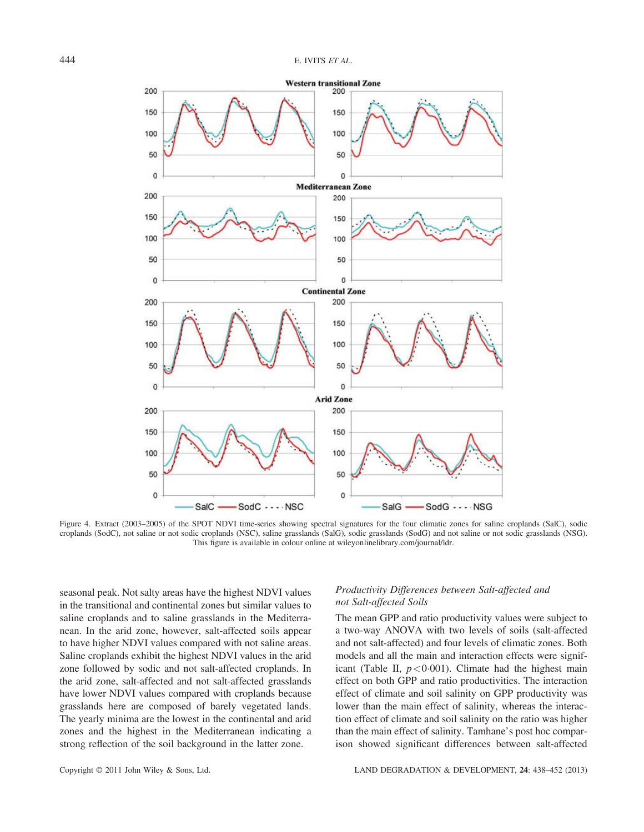

Figure 4. Extract (2003–2005) of the SPOT NDVI time-series showing spectral signatures for the four climatic zones for saline croplands (SalC), sodic croplands (SodC), not saline or not sodic croplands (NSC), saline grasslands (SalG), sodic grasslands (SodG) and not saline or not sodic grasslands (NSG). This figure is available in colour online at wileyonlinelibrary.com/journal/ldr.

seasonal peak. Not salty areas have the highest NDVI values in the transitional and continental zones but similar values to saline croplands and to saline grasslands in the Mediterranean. In the arid zone, however, salt-affected soils appear to have higher NDVI values compared with not saline areas. Saline croplands exhibit the highest NDVI values in the arid zone followed by sodic and not salt-affected croplands. In the arid zone, salt-affected and not salt-affected grasslands have lower NDVI values compared with croplands because grasslands here are composed of barely vegetated lands. The yearly minima are the lowest in the continental and arid zones and the highest in the Mediterranean indicating a strong reflection of the soil background in the latter zone.

# Productivity Differences between Salt-affected and not Salt-affected Soils

The mean GPP and ratio productivity values were subject to a two-way ANOVA with two levels of soils (salt-affected and not salt-affected) and four levels of climatic zones. Both models and all the main and interaction effects were significant (Table II,  $p < 0.001$ ). Climate had the highest main effect on both GPP and ratio productivities. The interaction effect of climate and soil salinity on GPP productivity was lower than the main effect of salinity, whereas the interaction effect of climate and soil salinity on the ratio was higher than the main effect of salinity. Tamhane's post hoc comparison showed significant differences between salt-affected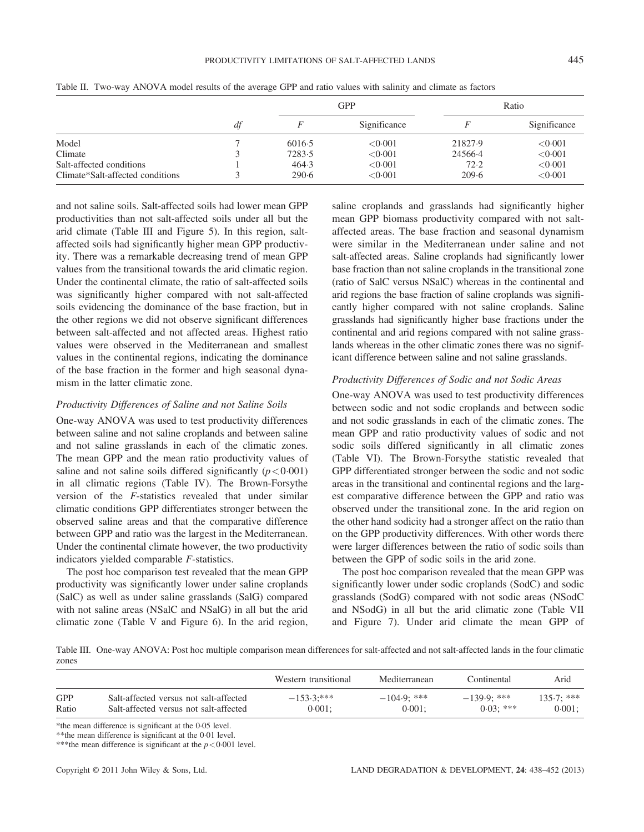#### PRODUCTIVITY LIMITATIONS OF SALT-AFFECTED LANDS 445

| Table II. Two-way ANOVA model results of the average GPP and ratio values with salinity and climate as factors |    |        |              |         |              |  |
|----------------------------------------------------------------------------------------------------------------|----|--------|--------------|---------|--------------|--|
|                                                                                                                |    |        | <b>GPP</b>   |         | Ratio        |  |
|                                                                                                                | df |        | Significance |         | Significance |  |
| Model                                                                                                          |    | 6016.5 | < 0.001      | 21827.9 | < 0.001      |  |
| Climate                                                                                                        |    | 7283.5 | < 0.001      | 24566.4 | < 0.001      |  |
| Salt-affected conditions                                                                                       |    | 464.3  | < 0.001      | 72.2    | < 0.001      |  |
| Climate*Salt-affected conditions                                                                               |    | 290.6  | < 0.001      | 209.6   | <0.001       |  |

and not saline soils. Salt-affected soils had lower mean GPP productivities than not salt-affected soils under all but the arid climate (Table III and Figure 5). In this region, saltaffected soils had significantly higher mean GPP productivity. There was a remarkable decreasing trend of mean GPP values from the transitional towards the arid climatic region. Under the continental climate, the ratio of salt-affected soils was significantly higher compared with not salt-affected soils evidencing the dominance of the base fraction, but in the other regions we did not observe significant differences between salt-affected and not affected areas. Highest ratio values were observed in the Mediterranean and smallest values in the continental regions, indicating the dominance of the base fraction in the former and high seasonal dynamism in the latter climatic zone.

# Productivity Differences of Saline and not Saline Soils

One-way ANOVA was used to test productivity differences between saline and not saline croplands and between saline and not saline grasslands in each of the climatic zones. The mean GPP and the mean ratio productivity values of saline and not saline soils differed significantly  $(p < 0.001)$ in all climatic regions (Table IV). The Brown-Forsythe version of the F-statistics revealed that under similar climatic conditions GPP differentiates stronger between the observed saline areas and that the comparative difference between GPP and ratio was the largest in the Mediterranean. Under the continental climate however, the two productivity indicators yielded comparable F-statistics.

The post hoc comparison test revealed that the mean GPP productivity was significantly lower under saline croplands (SalC) as well as under saline grasslands (SalG) compared with not saline areas (NSalC and NSalG) in all but the arid climatic zone (Table V and Figure 6). In the arid region,

saline croplands and grasslands had significantly higher mean GPP biomass productivity compared with not saltaffected areas. The base fraction and seasonal dynamism were similar in the Mediterranean under saline and not salt-affected areas. Saline croplands had significantly lower base fraction than not saline croplands in the transitional zone (ratio of SalC versus NSalC) whereas in the continental and arid regions the base fraction of saline croplands was significantly higher compared with not saline croplands. Saline grasslands had significantly higher base fractions under the continental and arid regions compared with not saline grasslands whereas in the other climatic zones there was no significant difference between saline and not saline grasslands.

### Productivity Differences of Sodic and not Sodic Areas

One-way ANOVA was used to test productivity differences between sodic and not sodic croplands and between sodic and not sodic grasslands in each of the climatic zones. The mean GPP and ratio productivity values of sodic and not sodic soils differed significantly in all climatic zones (Table VI). The Brown-Forsythe statistic revealed that GPP differentiated stronger between the sodic and not sodic areas in the transitional and continental regions and the largest comparative difference between the GPP and ratio was observed under the transitional zone. In the arid region on the other hand sodicity had a stronger affect on the ratio than on the GPP productivity differences. With other words there were larger differences between the ratio of sodic soils than between the GPP of sodic soils in the arid zone.

The post hoc comparison revealed that the mean GPP was significantly lower under sodic croplands (SodC) and sodic grasslands (SodG) compared with not sodic areas (NSodC and NSodG) in all but the arid climatic zone (Table VII and Figure 7). Under arid climate the mean GPP of

Table III. One-way ANOVA: Post hoc multiple comparison mean differences for salt-affected and not salt-affected lands in the four climatic zones

|            |                                        | Western transitional | Mediterranean  | Continental    | Arid        |
|------------|----------------------------------------|----------------------|----------------|----------------|-------------|
| <b>GPP</b> | Salt-affected versus not salt-affected | $-153.3$ :***        | $-104.9$ : *** | $-139.9$ : *** | $135.7:***$ |
| Ratio      | Salt-affected versus not salt-affected | 0.001:               | 0.001:         | $0.03:***$     | 0.001:      |

\*the mean difference is significant at the 0.05 level.

\*\*the mean difference is significant at the 0.01 level.

\*\*\*the mean difference is significant at the  $p < 0.001$  level.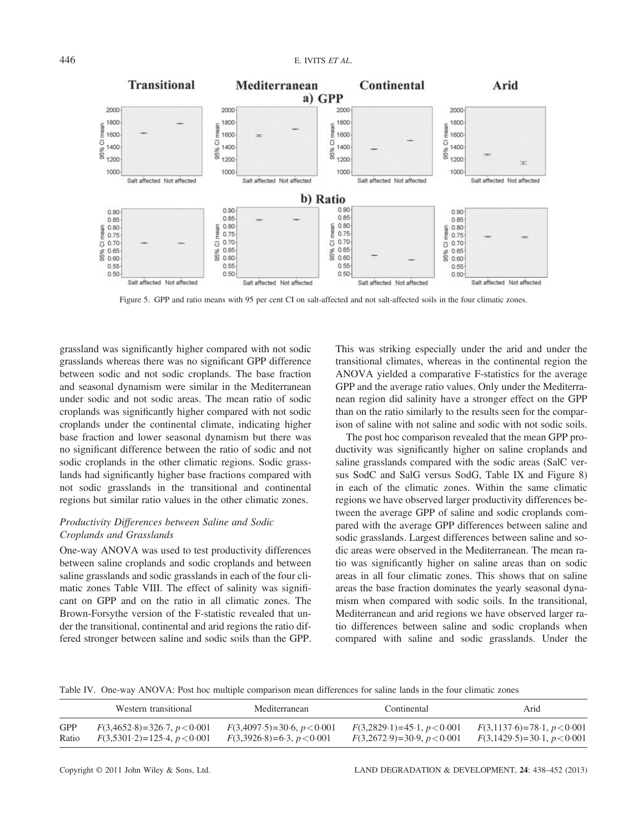

Figure 5. GPP and ratio means with 95 per cent CI on salt-affected and not salt-affected soils in the four climatic zones.

grassland was significantly higher compared with not sodic grasslands whereas there was no significant GPP difference between sodic and not sodic croplands. The base fraction and seasonal dynamism were similar in the Mediterranean under sodic and not sodic areas. The mean ratio of sodic croplands was significantly higher compared with not sodic croplands under the continental climate, indicating higher base fraction and lower seasonal dynamism but there was no significant difference between the ratio of sodic and not sodic croplands in the other climatic regions. Sodic grasslands had significantly higher base fractions compared with not sodic grasslands in the transitional and continental regions but similar ratio values in the other climatic zones.

# Productivity Differences between Saline and Sodic Croplands and Grasslands

One-way ANOVA was used to test productivity differences between saline croplands and sodic croplands and between saline grasslands and sodic grasslands in each of the four climatic zones Table VIII. The effect of salinity was significant on GPP and on the ratio in all climatic zones. The Brown-Forsythe version of the F-statistic revealed that under the transitional, continental and arid regions the ratio differed stronger between saline and sodic soils than the GPP. This was striking especially under the arid and under the transitional climates, whereas in the continental region the ANOVA yielded a comparative F-statistics for the average GPP and the average ratio values. Only under the Mediterranean region did salinity have a stronger effect on the GPP than on the ratio similarly to the results seen for the comparison of saline with not saline and sodic with not sodic soils.

The post hoc comparison revealed that the mean GPP productivity was significantly higher on saline croplands and saline grasslands compared with the sodic areas (SalC versus SodC and SalG versus SodG, Table IX and Figure 8) in each of the climatic zones. Within the same climatic regions we have observed larger productivity differences between the average GPP of saline and sodic croplands compared with the average GPP differences between saline and sodic grasslands. Largest differences between saline and sodic areas were observed in the Mediterranean. The mean ratio was significantly higher on saline areas than on sodic areas in all four climatic zones. This shows that on saline areas the base fraction dominates the yearly seasonal dynamism when compared with sodic soils. In the transitional, Mediterranean and arid regions we have observed larger ratio differences between saline and sodic croplands when compared with saline and sodic grasslands. Under the

Table IV. One-way ANOVA: Post hoc multiple comparison mean differences for saline lands in the four climatic zones

|            | Western transitional             | Mediterranean                   | Continental                     | Arid                            |
|------------|----------------------------------|---------------------------------|---------------------------------|---------------------------------|
| <b>GPP</b> | $F(3,4652.8) = 326.7, p < 0.001$ | $F(3,4097.5) = 30.6, p < 0.001$ | $F(3,2829.1) = 45.1, p < 0.001$ | $F(3,1137.6) = 78.1, p < 0.001$ |
| Ratio      | $F(3,5301.2) = 125.4, p < 0.001$ | $F(3,3926.8) = 6.3, p < 0.001$  | $F(3,2672.9) = 30.9, p < 0.001$ | $F(3,1429.5)=30.1, p<0.001$     |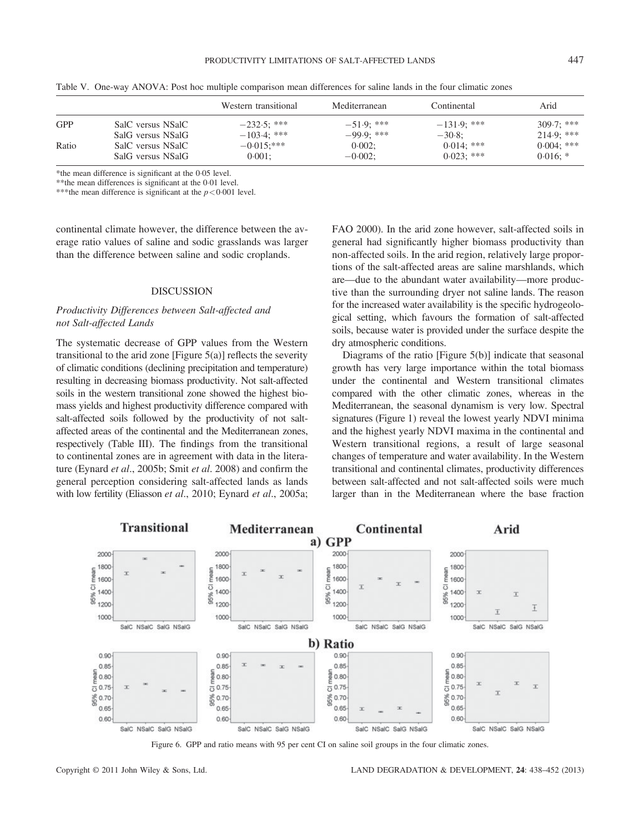|            |                                        | Western transitional       | Mediterranean        | Continental                | Arid                      |
|------------|----------------------------------------|----------------------------|----------------------|----------------------------|---------------------------|
| <b>GPP</b> | SalC versus NSalC                      | $-232.5$ : ***             | $-51.9$ : ***        | $-131.9$ : ***             | $309.7:***$               |
|            | SalG versus NSalG                      | $-103.4$ : ***             | $-99.9$ : ***        | $-30.8$ :                  | $214.9:***$               |
| Ratio      | SalC versus NSalC<br>SalG versus NSalG | $-0.015$ :***<br>$0.001$ ; | 0.002:<br>$-0.002$ : | $0.014:***$<br>$0.023:***$ | $0.004:***$<br>$0.016:$ * |

Table V. One-way ANOVA: Post hoc multiple comparison mean differences for saline lands in the four climatic zones

 $*$ the mean difference is significant at the 0.05 level.

\*\*the mean differences is significant at the 0.01 level.

\*\*\*the mean difference is significant at the  $p < 0.001$  level.

continental climate however, the difference between the average ratio values of saline and sodic grasslands was larger than the difference between saline and sodic croplands.

#### DISCUSSION

# Productivity Differences between Salt-affected and not Salt-affected Lands

The systematic decrease of GPP values from the Western transitional to the arid zone [Figure  $5(a)$ ] reflects the severity of climatic conditions (declining precipitation and temperature) resulting in decreasing biomass productivity. Not salt-affected soils in the western transitional zone showed the highest biomass yields and highest productivity difference compared with salt-affected soils followed by the productivity of not saltaffected areas of the continental and the Mediterranean zones, respectively (Table III). The findings from the transitional to continental zones are in agreement with data in the literature (Eynard *et al.*, 2005b; Smit *et al.* 2008) and confirm the general perception considering salt-affected lands as lands with low fertility (Eliasson et al., 2010; Eynard et al., 2005a; FAO 2000). In the arid zone however, salt-affected soils in general had significantly higher biomass productivity than non-affected soils. In the arid region, relatively large proportions of the salt-affected areas are saline marshlands, which are—due to the abundant water availability—more productive than the surrounding dryer not saline lands. The reason for the increased water availability is the specific hydrogeological setting, which favours the formation of salt-affected soils, because water is provided under the surface despite the dry atmospheric conditions.

Diagrams of the ratio [Figure 5(b)] indicate that seasonal growth has very large importance within the total biomass under the continental and Western transitional climates compared with the other climatic zones, whereas in the Mediterranean, the seasonal dynamism is very low. Spectral signatures (Figure 1) reveal the lowest yearly NDVI minima and the highest yearly NDVI maxima in the continental and Western transitional regions, a result of large seasonal changes of temperature and water availability. In the Western transitional and continental climates, productivity differences between salt-affected and not salt-affected soils were much larger than in the Mediterranean where the base fraction



Figure 6. GPP and ratio means with 95 per cent CI on saline soil groups in the four climatic zones.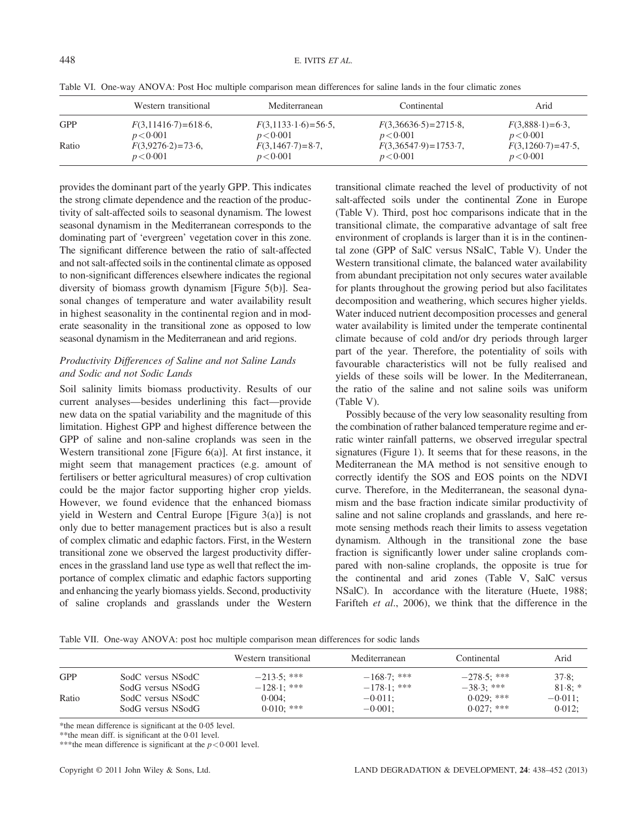|            | Western transitional     | Mediterranean            | Continental               | Arid                 |
|------------|--------------------------|--------------------------|---------------------------|----------------------|
| <b>GPP</b> | $F(3,11416.7) = 618.6$ , | $F(3,1133.1.6) = 56.5$ , | $F(3,36636.5) = 2715.8$   | $F(3,888.1) = 6.3$   |
|            | p < 0.001                | p < 0.001                | p < 0.001                 | p < 0.001            |
| Ratio      | $F(3,9276.2) = 73.6$ ,   | $F(3,1467.7)=8.7$ ,      | $F(3,36547.9) = 1753.7$ , | $F(3,1260.7)=47.5$ , |
|            | p < 0.001                | p < 0.001                | p < 0.001                 | p < 0.001            |

Table VI. One-way ANOVA: Post Hoc multiple comparison mean differences for saline lands in the four climatic zones

provides the dominant part of the yearly GPP. This indicates the strong climate dependence and the reaction of the productivity of salt-affected soils to seasonal dynamism. The lowest seasonal dynamism in the Mediterranean corresponds to the dominating part of 'evergreen' vegetation cover in this zone. The significant difference between the ratio of salt-affected and not salt-affected soils in the continental climate as opposed to non-significant differences elsewhere indicates the regional diversity of biomass growth dynamism [Figure 5(b)]. Seasonal changes of temperature and water availability result in highest seasonality in the continental region and in moderate seasonality in the transitional zone as opposed to low seasonal dynamism in the Mediterranean and arid regions.

# Productivity Differences of Saline and not Saline Lands and Sodic and not Sodic Lands

Soil salinity limits biomass productivity. Results of our current analyses—besides underlining this fact—provide new data on the spatial variability and the magnitude of this limitation. Highest GPP and highest difference between the GPP of saline and non-saline croplands was seen in the Western transitional zone [Figure 6(a)]. At first instance, it might seem that management practices (e.g. amount of fertilisers or better agricultural measures) of crop cultivation could be the major factor supporting higher crop yields. However, we found evidence that the enhanced biomass yield in Western and Central Europe [Figure 3(a)] is not only due to better management practices but is also a result of complex climatic and edaphic factors. First, in the Western transitional zone we observed the largest productivity differences in the grassland land use type as well that reflect the importance of complex climatic and edaphic factors supporting and enhancing the yearly biomass yields. Second, productivity of saline croplands and grasslands under the Western transitional climate reached the level of productivity of not salt-affected soils under the continental Zone in Europe (Table V). Third, post hoc comparisons indicate that in the transitional climate, the comparative advantage of salt free environment of croplands is larger than it is in the continental zone (GPP of SalC versus NSalC, Table V). Under the Western transitional climate, the balanced water availability from abundant precipitation not only secures water available for plants throughout the growing period but also facilitates decomposition and weathering, which secures higher yields. Water induced nutrient decomposition processes and general water availability is limited under the temperate continental climate because of cold and/or dry periods through larger part of the year. Therefore, the potentiality of soils with favourable characteristics will not be fully realised and yields of these soils will be lower. In the Mediterranean, the ratio of the saline and not saline soils was uniform (Table V).

Possibly because of the very low seasonality resulting from the combination of rather balanced temperature regime and erratic winter rainfall patterns, we observed irregular spectral signatures (Figure 1). It seems that for these reasons, in the Mediterranean the MA method is not sensitive enough to correctly identify the SOS and EOS points on the NDVI curve. Therefore, in the Mediterranean, the seasonal dynamism and the base fraction indicate similar productivity of saline and not saline croplands and grasslands, and here remote sensing methods reach their limits to assess vegetation dynamism. Although in the transitional zone the base fraction is significantly lower under saline croplands compared with non-saline croplands, the opposite is true for the continental and arid zones (Table V, SalC versus NSalC). In accordance with the literature (Huete, 1988; Farifteh et al., 2006), we think that the difference in the

Table VII. One-way ANOVA: post hoc multiple comparison mean differences for sodic lands

|       |                   | Western transitional | Mediterranean  | Continental    | Arid       |
|-------|-------------------|----------------------|----------------|----------------|------------|
| GPP   | SodC versus NSodC | $-213.5$ : ***       | $-168.7$ : *** | $-278.5$ : *** | 37.8:      |
|       | SodG versus NSodG | $-128.1$ : ***       | $-178.1:***$   | $-38.3$ : ***  | $81.8:$ *  |
| Ratio | SodC versus NSodC | $0.004$ :            | $-0.011$ :     | $0.029:***$    | $-0.011$ : |
|       | SodG versus NSodG | $0.010:***$          | $-0.001$ :     | $0.027:***$    | $0.012$ ;  |

\*the mean difference is significant at the 0.05 level.

\*\*the mean diff. is significant at the 0.01 level.

\*\*\*the mean difference is significant at the  $p < 0.001$  level.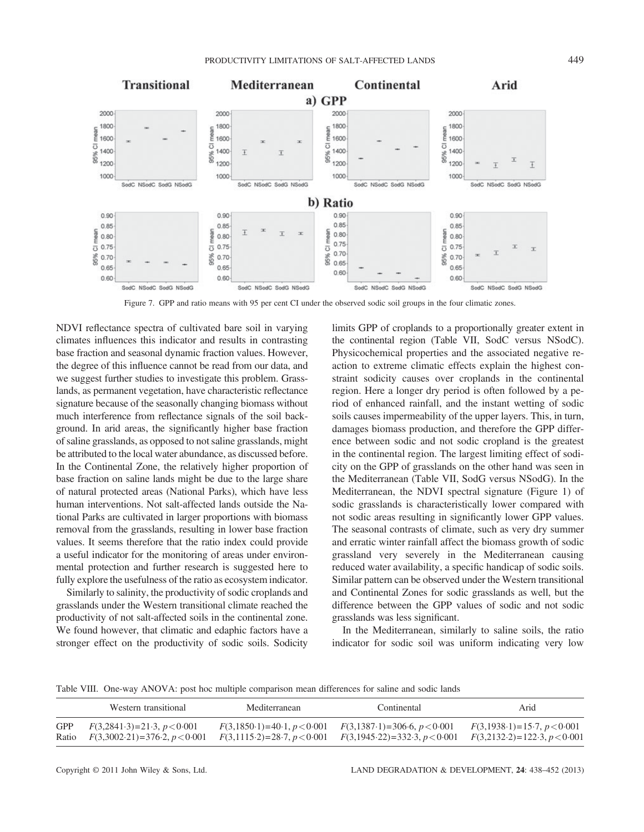

Figure 7. GPP and ratio means with 95 per cent CI under the observed sodic soil groups in the four climatic zones.

NDVI reflectance spectra of cultivated bare soil in varying climates influences this indicator and results in contrasting base fraction and seasonal dynamic fraction values. However, the degree of this influence cannot be read from our data, and we suggest further studies to investigate this problem. Grasslands, as permanent vegetation, have characteristic reflectance signature because of the seasonally changing biomass without much interference from reflectance signals of the soil background. In arid areas, the significantly higher base fraction of saline grasslands, as opposed to not saline grasslands, might be attributed to the local water abundance, as discussed before. In the Continental Zone, the relatively higher proportion of base fraction on saline lands might be due to the large share of natural protected areas (National Parks), which have less human interventions. Not salt-affected lands outside the National Parks are cultivated in larger proportions with biomass removal from the grasslands, resulting in lower base fraction values. It seems therefore that the ratio index could provide a useful indicator for the monitoring of areas under environmental protection and further research is suggested here to fully explore the usefulness of the ratio as ecosystem indicator.

Similarly to salinity, the productivity of sodic croplands and grasslands under the Western transitional climate reached the productivity of not salt-affected soils in the continental zone. We found however, that climatic and edaphic factors have a stronger effect on the productivity of sodic soils. Sodicity limits GPP of croplands to a proportionally greater extent in the continental region (Table VII, SodC versus NSodC). Physicochemical properties and the associated negative reaction to extreme climatic effects explain the highest constraint sodicity causes over croplands in the continental region. Here a longer dry period is often followed by a period of enhanced rainfall, and the instant wetting of sodic soils causes impermeability of the upper layers. This, in turn, damages biomass production, and therefore the GPP difference between sodic and not sodic cropland is the greatest in the continental region. The largest limiting effect of sodicity on the GPP of grasslands on the other hand was seen in the Mediterranean (Table VII, SodG versus NSodG). In the Mediterranean, the NDVI spectral signature (Figure 1) of sodic grasslands is characteristically lower compared with not sodic areas resulting in significantly lower GPP values. The seasonal contrasts of climate, such as very dry summer and erratic winter rainfall affect the biomass growth of sodic grassland very severely in the Mediterranean causing reduced water availability, a specific handicap of sodic soils. Similar pattern can be observed under the Western transitional and Continental Zones for sodic grasslands as well, but the difference between the GPP values of sodic and not sodic grasslands was less significant.

In the Mediterranean, similarly to saline soils, the ratio indicator for sodic soil was uniform indicating very low

Table VIII. One-way ANOVA: post hoc multiple comparison mean differences for saline and sodic lands

|            | Western transitional              | Mediterranean                               | Continental                       | Arid                             |
|------------|-----------------------------------|---------------------------------------------|-----------------------------------|----------------------------------|
| <b>GPP</b> | $F(3,2841.3) = 21.3, p < 0.001$   | $F(3,1850 \cdot 1) = 40 \cdot 1, p < 0.001$ | $F(3,1387.1) = 306.6, p < 0.001$  | $F(3,1938.1) = 15.7, p < 0.001$  |
| Ratio      | $F(3,3002.21) = 376.2, p < 0.001$ | $F(3,1115.2) = 28.7, p < 0.001$             | $F(3,1945.22) = 332.3, p < 0.001$ | $F(3,2132.2) = 122.3, p < 0.001$ |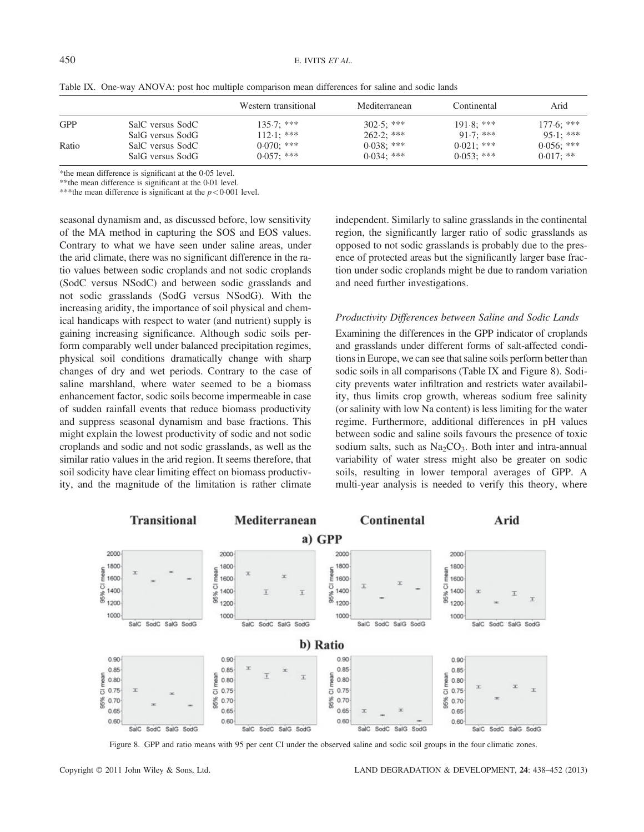|            |                  | Western transitional | Mediterranean | Continental   | Arid        |
|------------|------------------|----------------------|---------------|---------------|-------------|
| <b>GPP</b> | SalC versus SodC | $135.7:***$          | $302.5$ : *** | $191.8$ : *** | $177.6:***$ |
|            | SalG versus SodG | $112.1:***$          | $262.2$ : *** | $91.7:***$    | $95.1:***$  |
| Ratio      | SalC versus SodC | $0.070:***$          | $0.038:***$   | $0.021:***$   | $0.056:***$ |
|            | SalG versus SodG | $0.057:***$          | $0.034$ ; *** | $0.053$ : *** | $0.017:$ ** |

Table IX. One-way ANOVA: post hoc multiple comparison mean differences for saline and sodic lands

\*the mean difference is significant at the 0.05 level.

\*\*the mean difference is significant at the 0.01 level.

\*\*\*the mean difference is significant at the  $p < 0.001$  level.

seasonal dynamism and, as discussed before, low sensitivity of the MA method in capturing the SOS and EOS values. Contrary to what we have seen under saline areas, under the arid climate, there was no significant difference in the ratio values between sodic croplands and not sodic croplands (SodC versus NSodC) and between sodic grasslands and not sodic grasslands (SodG versus NSodG). With the increasing aridity, the importance of soil physical and chemical handicaps with respect to water (and nutrient) supply is gaining increasing significance. Although sodic soils perform comparably well under balanced precipitation regimes, physical soil conditions dramatically change with sharp changes of dry and wet periods. Contrary to the case of saline marshland, where water seemed to be a biomass enhancement factor, sodic soils become impermeable in case of sudden rainfall events that reduce biomass productivity and suppress seasonal dynamism and base fractions. This might explain the lowest productivity of sodic and not sodic croplands and sodic and not sodic grasslands, as well as the similar ratio values in the arid region. It seems therefore, that soil sodicity have clear limiting effect on biomass productivity, and the magnitude of the limitation is rather climate independent. Similarly to saline grasslands in the continental region, the significantly larger ratio of sodic grasslands as opposed to not sodic grasslands is probably due to the presence of protected areas but the significantly larger base fraction under sodic croplands might be due to random variation and need further investigations.

### Productivity Differences between Saline and Sodic Lands

Examining the differences in the GPP indicator of croplands and grasslands under different forms of salt-affected conditions in Europe, we can see that saline soils perform better than sodic soils in all comparisons (Table IX and Figure 8). Sodicity prevents water infiltration and restricts water availability, thus limits crop growth, whereas sodium free salinity (or salinity with low Na content) is less limiting for the water regime. Furthermore, additional differences in pH values between sodic and saline soils favours the presence of toxic sodium salts, such as  $Na<sub>2</sub>CO<sub>3</sub>$ . Both inter and intra-annual variability of water stress might also be greater on sodic soils, resulting in lower temporal averages of GPP. A multi-year analysis is needed to verify this theory, where



Figure 8. GPP and ratio means with 95 per cent CI under the observed saline and sodic soil groups in the four climatic zones.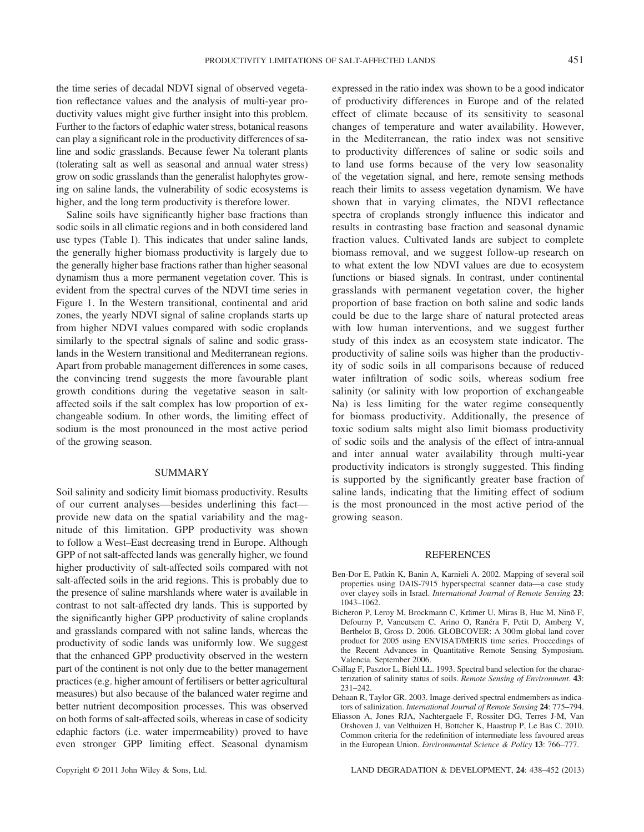the time series of decadal NDVI signal of observed vegetation reflectance values and the analysis of multi-year productivity values might give further insight into this problem. Further to the factors of edaphic water stress, botanical reasons can play a significant role in the productivity differences of saline and sodic grasslands. Because fewer Na tolerant plants (tolerating salt as well as seasonal and annual water stress) grow on sodic grasslands than the generalist halophytes growing on saline lands, the vulnerability of sodic ecosystems is higher, and the long term productivity is therefore lower.

Saline soils have significantly higher base fractions than sodic soils in all climatic regions and in both considered land use types (Table I). This indicates that under saline lands, the generally higher biomass productivity is largely due to the generally higher base fractions rather than higher seasonal dynamism thus a more permanent vegetation cover. This is evident from the spectral curves of the NDVI time series in Figure 1. In the Western transitional, continental and arid zones, the yearly NDVI signal of saline croplands starts up from higher NDVI values compared with sodic croplands similarly to the spectral signals of saline and sodic grasslands in the Western transitional and Mediterranean regions. Apart from probable management differences in some cases, the convincing trend suggests the more favourable plant growth conditions during the vegetative season in saltaffected soils if the salt complex has low proportion of exchangeable sodium. In other words, the limiting effect of sodium is the most pronounced in the most active period of the growing season.

### SUMMARY

Soil salinity and sodicity limit biomass productivity. Results of our current analyses—besides underlining this fact provide new data on the spatial variability and the magnitude of this limitation. GPP productivity was shown to follow a West–East decreasing trend in Europe. Although GPP of not salt-affected lands was generally higher, we found higher productivity of salt-affected soils compared with not salt-affected soils in the arid regions. This is probably due to the presence of saline marshlands where water is available in contrast to not salt-affected dry lands. This is supported by the significantly higher GPP productivity of saline croplands and grasslands compared with not saline lands, whereas the productivity of sodic lands was uniformly low. We suggest that the enhanced GPP productivity observed in the western part of the continent is not only due to the better management practices (e.g. higher amount of fertilisers or better agricultural measures) but also because of the balanced water regime and better nutrient decomposition processes. This was observed on both forms of salt-affected soils, whereas in case of sodicity edaphic factors (i.e. water impermeability) proved to have even stronger GPP limiting effect. Seasonal dynamism of productivity differences in Europe and of the related effect of climate because of its sensitivity to seasonal changes of temperature and water availability. However, in the Mediterranean, the ratio index was not sensitive to productivity differences of saline or sodic soils and to land use forms because of the very low seasonality of the vegetation signal, and here, remote sensing methods reach their limits to assess vegetation dynamism. We have shown that in varying climates, the NDVI reflectance spectra of croplands strongly influence this indicator and results in contrasting base fraction and seasonal dynamic fraction values. Cultivated lands are subject to complete biomass removal, and we suggest follow-up research on to what extent the low NDVI values are due to ecosystem functions or biased signals. In contrast, under continental grasslands with permanent vegetation cover, the higher proportion of base fraction on both saline and sodic lands could be due to the large share of natural protected areas with low human interventions, and we suggest further study of this index as an ecosystem state indicator. The productivity of saline soils was higher than the productivity of sodic soils in all comparisons because of reduced water infiltration of sodic soils, whereas sodium free salinity (or salinity with low proportion of exchangeable Na) is less limiting for the water regime consequently for biomass productivity. Additionally, the presence of toxic sodium salts might also limit biomass productivity of sodic soils and the analysis of the effect of intra-annual and inter annual water availability through multi-year productivity indicators is strongly suggested. This finding is supported by the significantly greater base fraction of saline lands, indicating that the limiting effect of sodium is the most pronounced in the most active period of the

expressed in the ratio index was shown to be a good indicator

#### REFERENCES

growing season.

- Ben-Dor E, Patkin K, Banin A, Karnieli A. 2002. Mapping of several soil properties using DAIS-7915 hyperspectral scanner data—a case study over clayey soils in Israel. International Journal of Remote Sensing 23: 1043–1062.
- Bicheron P, Leroy M, Brockmann C, Krämer U, Miras B, Huc M, Ninõ F, Defourny P, Vancutsem C, Arino O, Ranéra F, Petit D, Amberg V, Berthelot B, Gross D. 2006. GLOBCOVER: A 300m global land cover product for 2005 using ENVISAT/MERIS time series. Proceedings of the Recent Advances in Quantitative Remote Sensing Symposium. Valencia. September 2006.
- Csillag F, Pasztor L, Biehl LL. 1993. Spectral band selection for the characterization of salinity status of soils. Remote Sensing of Environment. 43: 231–242.
- Dehaan R, Taylor GR. 2003. Image-derived spectral endmembers as indicators of salinization. International Journal of Remote Sensing 24: 775–794.
- Eliasson A, Jones RJA, Nachtergaele F, Rossiter DG, Terres J-M, Van Orshoven J, van Velthuizen H, Bottcher K, Haastrup P, Le Bas C. 2010. Common criteria for the redefinition of intermediate less favoured areas in the European Union. Environmental Science & Policy 13: 766–777.